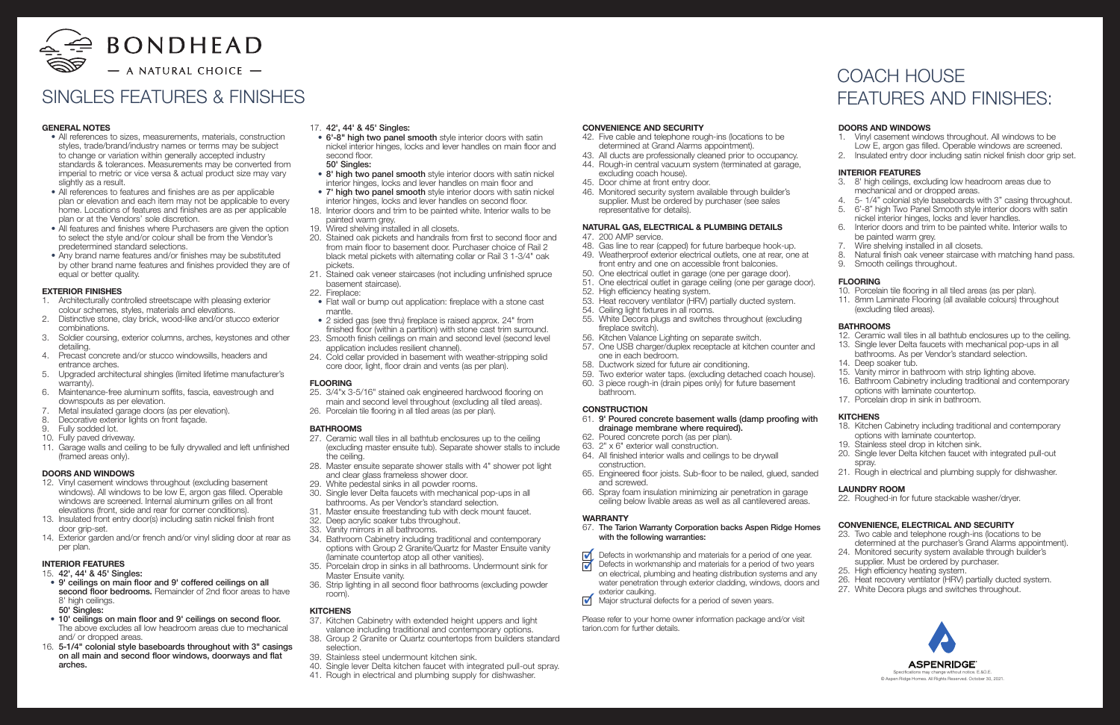

## GENERAL NOTES

- All references to sizes, measurements, materials, construction styles, trade/brand/industry names or terms may be subject to change or variation within generally accepted industry standards & tolerances. Measurements may be converted from imperial to metric or vice versa & actual product size may vary slightly as a result.
- All references to features and finishes are as per applicable plan or elevation and each item may not be applicable to every home. Locations of features and finishes are as per applicable plan or at the Vendors' sole discretion.
- All features and finishes where Purchasers are given the option to select the style and/or colour shall be from the Vendor's predetermined standard selections.
- Any brand name features and/or finishes may be substituted by other brand name features and finishes provided they are of equal or better quality.

#### EXTERIOR FINISHES

- 1. Architecturally controlled streetscape with pleasing exterior colour schemes, styles, materials and elevations.
- 2. Distinctive stone, clay brick, wood-like and/or stucco exterior combinations.
- 3. Soldier coursing, exterior columns, arches, keystones and other detailing.
- 4. Precast concrete and/or stucco windowsills, headers and entrance arches.
- 5. Upgraded architectural shingles (limited lifetime manufacturer's warranty).
- 6. Maintenance-free aluminum soffits, fascia, eavestrough and downspouts as per elevation.
- Metal insulated garage doors (as per elevation).
- 8. Decorative exterior lights on front façade.
- 9. Fully sodded lot.
- 10. Fully paved driveway.
- 11. Garage walls and ceiling to be fully drywalled and left unfinished (framed areas only).

#### DOORS AND WINDOWS

- 12. Vinyl casement windows throughout (excluding basement windows). All windows to be low E, argon gas filled. Operable windows are screened. Internal aluminum grilles on all front elevations (front, side and rear for corner conditions).
- 13. Insulated front entry door(s) including satin nickel finish front door grip-set.
- 14. Exterior garden and/or french and/or vinyl sliding door at rear as per plan.

#### INTERIOR FEATURES

#### 15. 42', 44' & 45' Singles:

- 9' ceilings on main floor and 9' coffered ceilings on all second floor bedrooms. Remainder of 2nd floor areas to have 8' high ceilings.
- 50' Singles:
- 10' ceilings on main floor and 9' ceilings on second floor. The above excludes all low headroom areas due to mechanical and/ or dropped areas.
- 16. 5-1/4" colonial style baseboards throughout with 3" casings on all main and second floor windows, doorways and flat arches.
- 42. Five cable and telephone rough-ins (locations to be determined at Grand Alarms appointment).
- 43. All ducts are professionally cleaned prior to occupancy.
- 44. Rough-in central vacuum system (terminated at garage, excluding coach house).
- 45. Door chime at front entry door.
- 46. Monitored security system available through builder's supplier. Must be ordered by purchaser (see sales representative for details).
- 17. 42', 44' & 45' Singles:
- 6'-8" high two panel smooth style interior doors with satin nickel interior hinges, locks and lever handles on main floor and second floor. 50' Singles:
- 8' high two panel smooth style interior doors with satin nickel interior hinges, locks and lever handles on main floor and
- 7' high two panel smooth style interior doors with satin nickel interior hinges, locks and lever handles on second floor.
- 18. Interior doors and trim to be painted white. Interior walls to be painted warm grey.
- 19. Wired shelving installed in all closets.
- 20. Stained oak pickets and handrails from first to second floor and from main floor to basement door. Purchaser choice of Rail 2 black metal pickets with alternating collar or Rail 3 1-3/4" oak pickets.
- 21. Stained oak veneer staircases (not including unfinished spruce basement staircase).
- 22. Fireplace:
- Flat wall or bump out application: fireplace with a stone cast mantle.
- 2 sided gas (see thru) fireplace is raised approx. 24" from finished floor (within a partition) with stone cast trim surround.
- 23. Smooth finish ceilings on main and second level (second level application includes resilient channel).
- 24. Cold cellar provided in basement with weather-stripping solid core door, light, floor drain and vents (as per plan).

#### FLOORING

- 25. 3/4"x 3-5/16" stained oak engineered hardwood flooring on main and second level throughout (excluding all tiled areas).
- 26. Porcelain tile flooring in all tiled areas (as per plan).

#### BATHROOMS

- 27. Ceramic wall tiles in all bathtub enclosures up to the ceiling (excluding master ensuite tub). Separate shower stalls to include the ceiling.
- 28. Master ensuite separate shower stalls with 4" shower pot light and clear glass frameless shower door.
- 29. White pedestal sinks in all powder rooms.
- 30. Single lever Delta faucets with mechanical pop-ups in all bathrooms. As per Vendor's standard selection.
- 31. Master ensuite freestanding tub with deck mount faucet.
- 32. Deep acrylic soaker tubs throughout.
- 33. Vanity mirrors in all bathrooms.
- 34. Bathroom Cabinetry including traditional and contemporary options with Group 2 Granite/Quartz for Master Ensuite vanity (laminate countertop atop all other vanities).
- 35. Porcelain drop in sinks in all bathrooms. Undermount sink for Master Ensuite vanity.
- 36. Strip lighting in all second floor bathrooms (excluding powder room).

#### **KITCHENS**

- 37. Kitchen Cabinetry with extended height uppers and light valance including traditional and contemporary options.
- 38. Group 2 Granite or Quartz countertops from builders standard selection.
- 39. Stainless steel undermount kitchen sink.
- 40. Single lever Delta kitchen faucet with integrated pull-out spray.
- 41. Rough in electrical and plumbing supply for dishwasher.

#### CONVENIENCE AND SECURITY

#### NATURAL GAS, ELECTRICAL & PLUMBING DETAILS

- 47. 200 AMP service.
- 48. Gas line to rear (capped) for future barbeque hook-up.
- 49. Weatherproof exterior electrical outlets, one at rear, one at front entry and one on accessible front balconies.
- 50. One electrical outlet in garage (one per garage door).
- 51. One electrical outlet in garage ceiling (one per garage door).
- 52. High efficiency heating system.
- 53. Heat recovery ventilator (HRV) partially ducted system.
- 54. Ceiling light fixtures in all rooms.
- 55. White Decora plugs and switches throughout (excluding fireplace switch).
- 56. Kitchen Valance Lighting on separate switch.
- 57. One USB charger/duplex receptacle at kitchen counter and one in each bedroom.
- 58. Ductwork sized for future air conditioning.
- 59. Two exterior water taps. (excluding detached coach house).
- 60. 3 piece rough-in (drain pipes only) for future basement bathroom.

#### **CONSTRUCTION**

- 61. 9' Poured concrete basement walls (damp proofing with drainage membrane where required).
- 62. Poured concrete porch (as per plan).
- 63. 2" x 6" exterior wall construction.
- 64. All finished interior walls and ceilings to be drywall construction.
- 65. Engineered floor joists. Sub-floor to be nailed, glued, sanded and screwed.
- 66. Spray foam insulation minimizing air penetration in garage ceiling below livable areas as well as all cantilevered areas.

#### **WARRANTY**

- 67. The Tarion Warranty Corporation backs Aspen Ridge Homes with the following warranties:
- $\overline{\mathbf{v}}$ Defects in workmanship and materials for a period of one year.
- <u>त्रं</u> Defects in workmanship and materials for a period of two years on electrical, plumbing and heating distribution systems and any water penetration through exterior cladding, windows, doors and exterior caulking.
- $\overline{\mathcal{A}}$ Major structural defects for a period of seven years.

Please refer to your home owner information package and/or visit tarion.com for further details.

## DOORS AND WINDOWS

- 1. Vinyl casement windows throughout. All windows to be Low E, argon gas filled. Operable windows are screened.
- 2. Insulated entry door including satin nickel finish door grip set.

### INTERIOR FEATURES

- 3. 8' high ceilings, excluding low headroom areas due to mechanical and or dropped areas.
- 4. 5- 1/4" colonial style baseboards with 3" casing throughout.
- 5. 6'-8" high Two Panel Smooth style interior doors with satin nickel interior hinges, locks and lever handles.
- 6. Interior doors and trim to be painted white. Interior walls to be painted warm grey.
- 7. Wire shelving installed in all closets.<br>8. Natural finish oak veneer staircase v
- Natural finish oak veneer staircase with matching hand pass.
- 9. Smooth ceilings throughout.

## FLOORING

- 10. Porcelain tile flooring in all tiled areas (as per plan).
- 11. 8mm Laminate Flooring (all available colours) throughout (excluding tiled areas).

#### BATHROOMS

- 12. Ceramic wall tiles in all bathtub enclosures up to the ceiling.
- 13. Single lever Delta faucets with mechanical pop-ups in all bathrooms. As per Vendor's standard selection.
- 14. Deep soaker tub.
- 15. Vanity mirror in bathroom with strip lighting above.
- 16. Bathroom Cabinetry including traditional and contemporary options with laminate countertop.
- 17. Porcelain drop in sink in bathroom.

#### KITCHENS

- 18. Kitchen Cabinetry including traditional and contemporary options with laminate countertop.
- 19. Stainless steel drop in kitchen sink.
- 20. Single lever Delta kitchen faucet with integrated pull-out spray.
- 21. Rough in electrical and plumbing supply for dishwasher.

#### LAUNDRY ROOM

22. Roughed-in for future stackable washer/dryer.

#### CONVENIENCE, ELECTRICAL AND SECURITY

- 23. Two cable and telephone rough-ins (locations to be
- determined at the purchaser's Grand Alarms appointment). 24. Monitored security system available through builder's
- supplier. Must be ordered by purchaser. 25. High efficiency heating system.
- 
- 26. Heat recovery ventilator (HRV) partially ducted system.
- 27. White Decora plugs and switches throughout.



## SINGLES FEATURES & FINISHES

## COACH HOUSE FEATURES AND FINISHES: